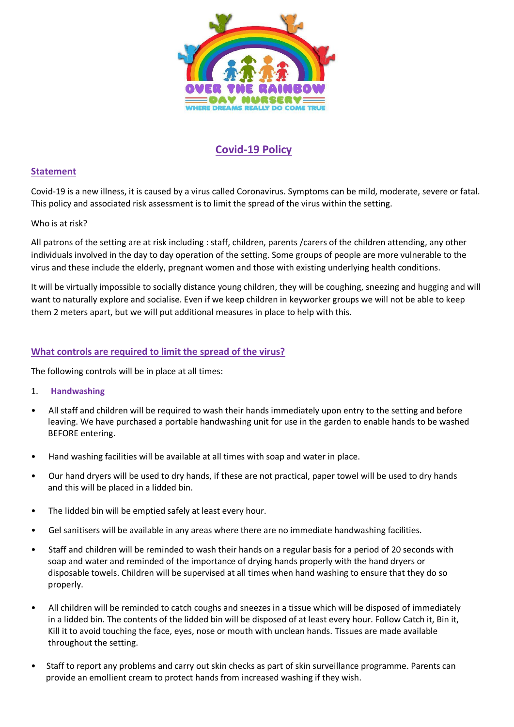

# **Covid-19 Policy**

# **Statement**

Covid-19 is a new illness, it is caused by a virus called Coronavirus. Symptoms can be mild, moderate, severe or fatal. This policy and associated risk assessment is to limit the spread of the virus within the setting.

## Who is at risk?

All patrons of the setting are at risk including : staff, children, parents /carers of the children attending, any other individuals involved in the day to day operation of the setting. Some groups of people are more vulnerable to the virus and these include the elderly, pregnant women and those with existing underlying health conditions.

It will be virtually impossible to socially distance young children, they will be coughing, sneezing and hugging and will want to naturally explore and socialise. Even if we keep children in keyworker groups we will not be able to keep them 2 meters apart, but we will put additional measures in place to help with this.

# **What controls are required to limit the spread of the virus?**

The following controls will be in place at all times:

#### 1. **Handwashing**

- All staff and children will be required to wash their hands immediately upon entry to the setting and before leaving. We have purchased a portable handwashing unit for use in the garden to enable hands to be washed BEFORE entering.
- Hand washing facilities will be available at all times with soap and water in place.
- Our hand dryers will be used to dry hands, if these are not practical, paper towel will be used to dry hands and this will be placed in a lidded bin.
- The lidded bin will be emptied safely at least every hour.
- Gel sanitisers will be available in any areas where there are no immediate handwashing facilities.
- Staff and children will be reminded to wash their hands on a regular basis for a period of 20 seconds with soap and water and reminded of the importance of drying hands properly with the hand dryers or disposable towels. Children will be supervised at all times when hand washing to ensure that they do so properly.
- All children will be reminded to catch coughs and sneezes in a tissue which will be disposed of immediately in a lidded bin. The contents of the lidded bin will be disposed of at least every hour. Follow Catch it, Bin it, Kill it to avoid touching the face, eyes, nose or mouth with unclean hands. Tissues are made available throughout the setting.
- Staff to report any problems and carry out skin checks as part of skin surveillance programme. Parents can provide an emollient cream to protect hands from increased washing if they wish.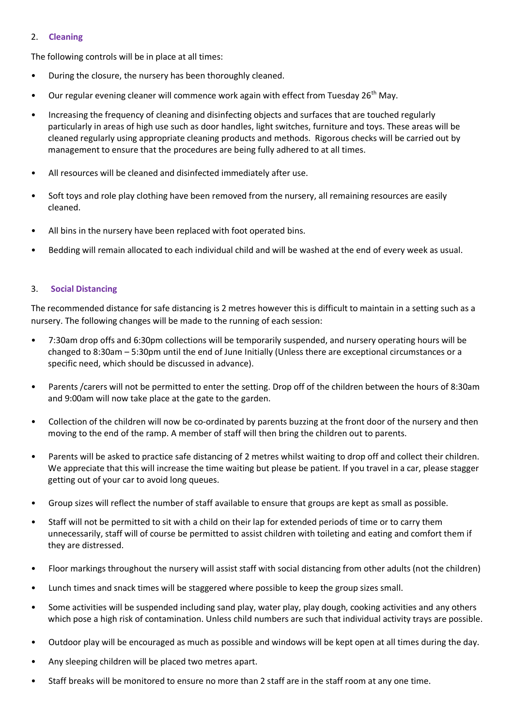## 2. **Cleaning**

The following controls will be in place at all times:

- During the closure, the nursery has been thoroughly cleaned.
- Our regular evening cleaner will commence work again with effect from Tuesday 26<sup>th</sup> May.
- Increasing the frequency of cleaning and disinfecting objects and surfaces that are touched regularly particularly in areas of high use such as door handles, light switches, furniture and toys. These areas will be cleaned regularly using appropriate cleaning products and methods. Rigorous checks will be carried out by management to ensure that the procedures are being fully adhered to at all times.
- All resources will be cleaned and disinfected immediately after use.
- Soft toys and role play clothing have been removed from the nursery, all remaining resources are easily cleaned.
- All bins in the nursery have been replaced with foot operated bins.
- Bedding will remain allocated to each individual child and will be washed at the end of every week as usual.

### 3. **Social Distancing**

The recommended distance for safe distancing is 2 metres however this is difficult to maintain in a setting such as a nursery. The following changes will be made to the running of each session:

- 7:30am drop offs and 6:30pm collections will be temporarily suspended, and nursery operating hours will be changed to 8:30am – 5:30pm until the end of June Initially (Unless there are exceptional circumstances or a specific need, which should be discussed in advance).
- Parents /carers will not be permitted to enter the setting. Drop off of the children between the hours of 8:30am and 9:00am will now take place at the gate to the garden.
- Collection of the children will now be co-ordinated by parents buzzing at the front door of the nursery and then moving to the end of the ramp. A member of staff will then bring the children out to parents.
- Parents will be asked to practice safe distancing of 2 metres whilst waiting to drop off and collect their children. We appreciate that this will increase the time waiting but please be patient. If you travel in a car, please stagger getting out of your car to avoid long queues.
- Group sizes will reflect the number of staff available to ensure that groups are kept as small as possible.
- Staff will not be permitted to sit with a child on their lap for extended periods of time or to carry them unnecessarily, staff will of course be permitted to assist children with toileting and eating and comfort them if they are distressed.
- Floor markings throughout the nursery will assist staff with social distancing from other adults (not the children)
- Lunch times and snack times will be staggered where possible to keep the group sizes small.
- Some activities will be suspended including sand play, water play, play dough, cooking activities and any others which pose a high risk of contamination. Unless child numbers are such that individual activity trays are possible.
- Outdoor play will be encouraged as much as possible and windows will be kept open at all times during the day.
- Any sleeping children will be placed two metres apart.
- Staff breaks will be monitored to ensure no more than 2 staff are in the staff room at any one time.